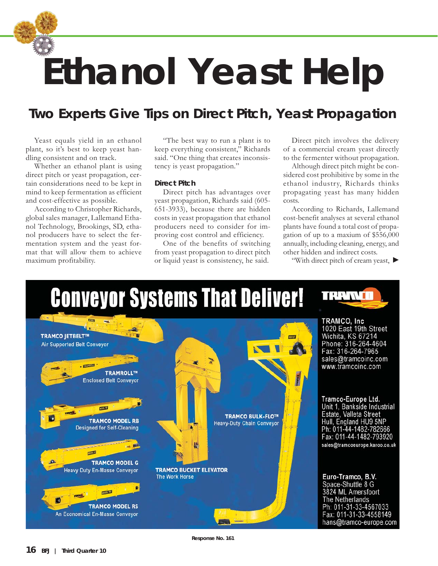## **Ethanol Yeast Help**

## *Two Experts Give Tips on Direct Pitch, Yeast Propagation*

Yeast equals yield in an ethanol plant, so it's best to keep yeast handling consistent and on track.

Whether an ethanol plant is using direct pitch or yeast propagation, certain considerations need to be kept in mind to keep fermentation as efficient and cost-effective as possible.

According to Christopher Richards, global sales manager, Lallemand Ethanol Technology, Brookings, SD, ethanol producers have to select the fermentation system and the yeast format that will allow them to achieve maximum profitability.

"The best way to run a plant is to keep everything consistent," Richards said. "One thing that creates inconsistency is yeast propagation."

## **Direct Pitch**

Direct pitch has advantages over yeast propagation, Richards said (605- 651-3933), because there are hidden costs in yeast propagation that ethanol producers need to consider for improving cost control and efficiency.

One of the benefits of switching from yeast propagation to direct pitch or liquid yeast is consistency, he said.

Direct pitch involves the delivery of a commercial cream yeast directly to the fermenter without propagation.

Although direct pitch might be considered cost prohibitive by some in the ethanol industry, Richards thinks propagating yeast has many hidden costs.

According to Richards, Lallemand cost-benefit analyses at several ethanol plants have found a total cost of propagation of up to a maxium of \$556,000 annually, including cleaning, energy, and other hidden and indirect costs.

"With direct pitch of cream yeast,



**Response No. 161**